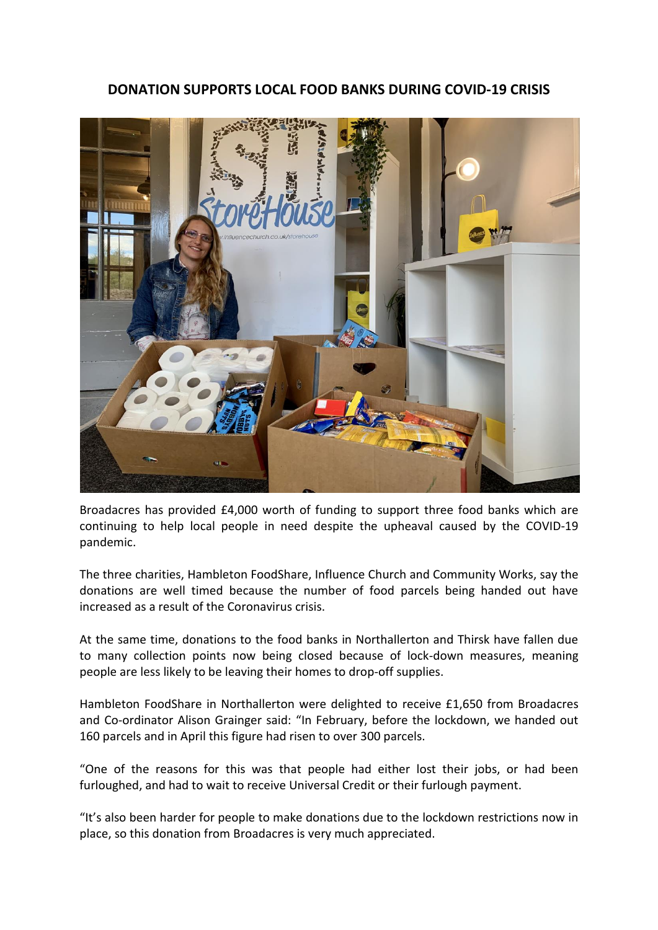## **DONATION SUPPORTS LOCAL FOOD BANKS DURING COVID-19 CRISIS**



Broadacres has provided £4,000 worth of funding to support three food banks which are continuing to help local people in need despite the upheaval caused by the COVID-19 pandemic.

The three charities, Hambleton FoodShare, Influence Church and Community Works, say the donations are well timed because the number of food parcels being handed out have increased as a result of the Coronavirus crisis.

At the same time, donations to the food banks in Northallerton and Thirsk have fallen due to many collection points now being closed because of lock-down measures, meaning people are less likely to be leaving their homes to drop-off supplies.

Hambleton FoodShare in Northallerton were delighted to receive £1,650 from Broadacres and Co-ordinator Alison Grainger said: "In February, before the lockdown, we handed out 160 parcels and in April this figure had risen to over 300 parcels.

"One of the reasons for this was that people had either lost their jobs, or had been furloughed, and had to wait to receive Universal Credit or their furlough payment.

"It's also been harder for people to make donations due to the lockdown restrictions now in place, so this donation from Broadacres is very much appreciated.